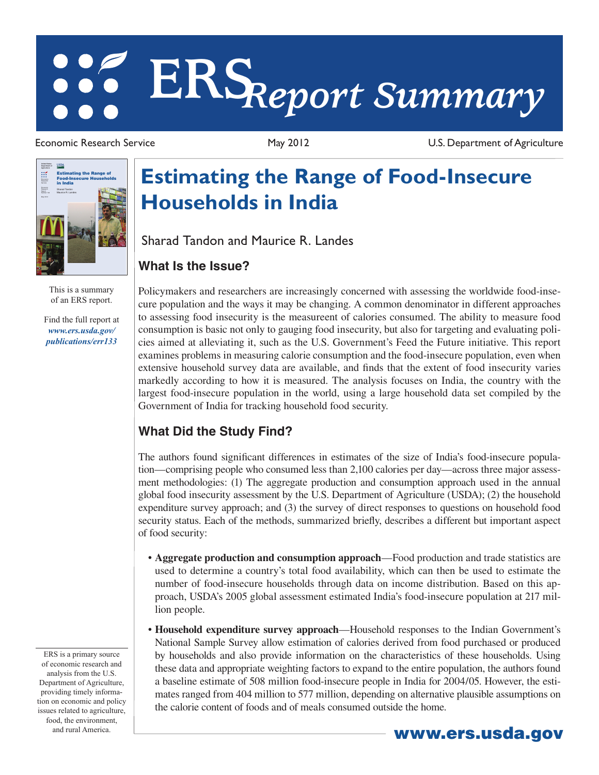# **ERS***Report Summary*

Economic Research Service May 2012 U.S. Department of Agriculture



This is a summary of an ERS report.

Find the full report at *www.ers.usda.gov/ publications/err133*

**Estimating the Range of Food-Insecure Households in India**

harad Tandon and Maurice R. Landes<br>**That Is the Issue?** Sharad Tandon and Maurice R. Landes

## **What Is the Issue?**

Policymakers and researchers are increasingly concerned with assessing the worldwide food-insecure population and the ways it may be changing. A common denominator in different approaches to assessing food insecurity is the measureent of calories consumed. The ability to measure food consumption is basic not only to gauging food insecurity, but also for targeting and evaluating policies aimed at alleviating it, such as the U.S. Government's Feed the Future initiative. This report examines problems in measuring calorie consumption and the food-insecure population, even when extensive household survey data are available, and finds that the extent of food insecurity varies markedly according to how it is measured. The analysis focuses on India, the country with the largest food-insecure population in the world, using a large household data set compiled by the Government of India for tracking household food security.

# **What Did the Study Find?**

**That Did the Study Find?**<br>**That Did the Study Find?**<br>the authors found significant differences in estimates of the size of India's food-insecure pop<br>on-comprising people who consumed less than 2.100 calories per day—acros The authors found significant differences in estimates of the size of India's food-insecure population—comprising people who consumed less than 2,100 calories per day—across three major assessment methodologies: (1) The aggregate production and consumption approach used in the annual global food insecurity assessment by the U.S. Department of Agriculture (USDA); (2) the household expenditure survey approach; and (3) the survey of direct responses to questions on household food security status. Each of the methods, summarized briefly, describes a different but important aspect of food security:

- • **Aggregate production and consumption approach**—Food production and trade statistics are used to determine a country's total food availability, which can then be used to estimate the number of food-insecure households through data on income distribution. Based on this approach, USDA's 2005 global assessment estimated India's food-insecure population at 217 million people.
- • **Household expenditure survey approach**—Household responses to the Indian Government's National Sample Survey allow estimation of calories derived from food purchased or produced by households and also provide information on the characteristics of these households. Using these data and appropriate weighting factors to expand to the entire population, the authors found a baseline estimate of 508 million food-insecure people in India for 2004/05. However, the estimates ranged from 404 million to 577 million, depending on alternative plausible assumptions on the calorie content of foods and of meals consumed outside the home.

ERS is a primary source of economic research and analysis from the U.S. Department of Agriculture, providing timely information on economic and policy issues related to agriculture, food, the environment, and rural America. Www.ers.usda.gov